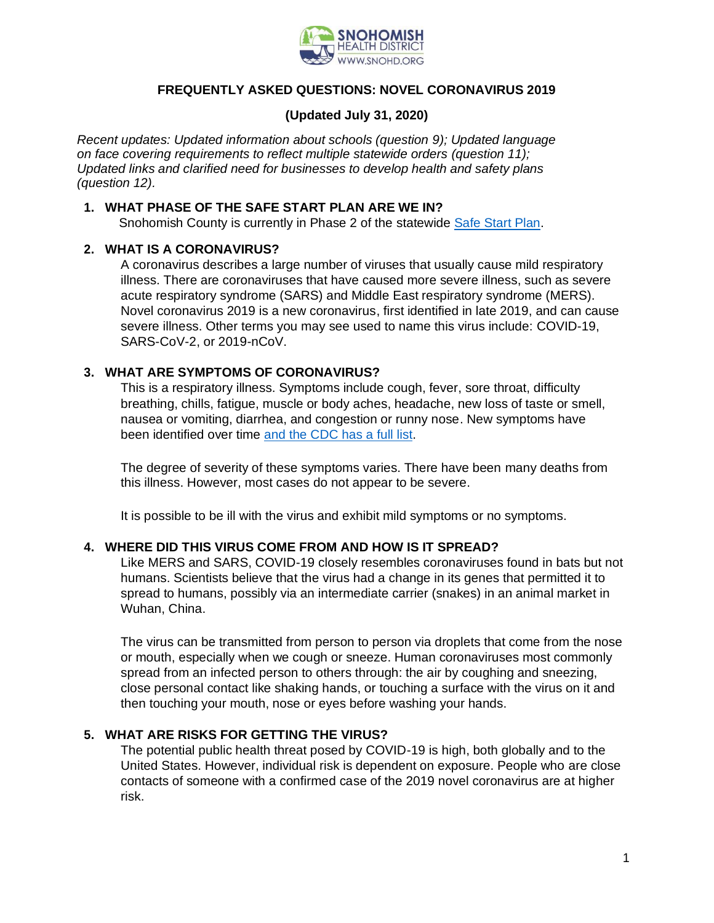

# **FREQUENTLY ASKED QUESTIONS: NOVEL CORONAVIRUS 2019**

# **(Updated July 31, 2020)**

*Recent updates: Updated information about schools (question 9); Updated language on face covering requirements to reflect multiple statewide orders (question 11); Updated links and clarified need for businesses to develop health and safety plans (question 12).*

### **1. WHAT PHASE OF THE SAFE START PLAN ARE WE IN?**

Snohomish County is currently in Phase 2 of the statewide [Safe Start Plan.](https://coronavirus.wa.gov/what-you-need-know/safe-start)

# **2. WHAT IS A CORONAVIRUS?**

A coronavirus describes a large number of viruses that usually cause mild respiratory illness. There are coronaviruses that have caused more severe illness, such as severe acute respiratory syndrome (SARS) and Middle East respiratory syndrome (MERS). Novel coronavirus 2019 is a new coronavirus, first identified in late 2019, and can cause severe illness. Other terms you may see used to name this virus include: COVID-19, SARS-CoV-2, or 2019-nCoV.

# **3. WHAT ARE SYMPTOMS OF CORONAVIRUS?**

This is a respiratory illness. Symptoms include cough, fever, sore throat, difficulty breathing, chills, fatigue, muscle or body aches, headache, new loss of taste or smell, nausea or vomiting, diarrhea, and congestion or runny nose. New symptoms have been identified over time [and the CDC has a](https://www.cdc.gov/coronavirus/2019-ncov/symptoms-testing/symptoms.html) full list.

The degree of severity of these symptoms varies. There have been many deaths from this illness. However, most cases do not appear to be severe.

It is possible to be ill with the virus and exhibit mild symptoms or no symptoms.

### **4. WHERE DID THIS VIRUS COME FROM AND HOW IS IT SPREAD?**

Like MERS and SARS, COVID-19 closely resembles coronaviruses found in bats but not humans. Scientists believe that the virus had a change in its genes that permitted it to spread to humans, possibly via an intermediate carrier (snakes) in an animal market in Wuhan, China.

The virus can be transmitted from person to person via droplets that come from the nose or mouth, especially when we cough or sneeze. Human coronaviruses most commonly spread from an infected person to others through: the air by coughing and sneezing, close personal contact like shaking hands, or touching a surface with the virus on it and then touching your mouth, nose or eyes before washing your hands.

### **5. WHAT ARE RISKS FOR GETTING THE VIRUS?**

The potential public health threat posed by COVID-19 is high, both globally and to the United States. However, individual risk is dependent on exposure. People who are close contacts of someone with a confirmed case of the 2019 novel coronavirus are at higher risk.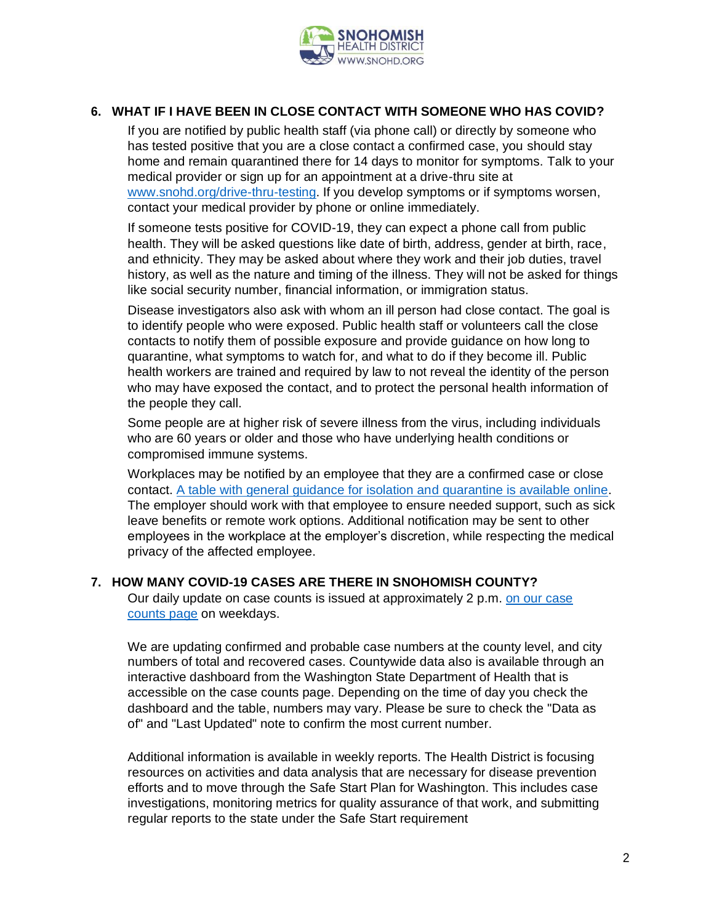

# **6. WHAT IF I HAVE BEEN IN CLOSE CONTACT WITH SOMEONE WHO HAS COVID?**

If you are notified by public health staff (via phone call) or directly by someone who has tested positive that you are a close contact a confirmed case, you should stay home and remain quarantined there for 14 days to monitor for symptoms. Talk to your medical provider or sign up for an appointment at a drive-thru site at [www.snohd.org/drive-thru-testing.](http://www.snohd.org/drive-thru-testing) If you develop symptoms or if symptoms worsen, contact your medical provider by phone or online immediately.

If someone tests positive for COVID-19, they can expect a phone call from public health. They will be asked questions like date of birth, address, gender at birth, race, and ethnicity. They may be asked about where they work and their job duties, travel history, as well as the nature and timing of the illness. They will not be asked for things like social security number, financial information, or immigration status.

Disease investigators also ask with whom an ill person had close contact. The goal is to identify people who were exposed. Public health staff or volunteers call the close contacts to notify them of possible exposure and provide guidance on how long to quarantine, what symptoms to watch for, and what to do if they become ill. Public health workers are trained and required by law to not reveal the identity of the person who may have exposed the contact, and to protect the personal health information of the people they call.

Some people are at higher risk of severe illness from the virus, including individuals who are 60 years or older and those who have underlying health conditions or compromised immune systems.

Workplaces may be notified by an employee that they are a confirmed case or close contact. [A table with general guidance for isolation and quarantine is available online.](https://www.snohd.org/DocumentCenter/View/3399/General-Guidance-for-Isolation-and-Quarantine?bidId=) The employer should work with that employee to ensure needed support, such as sick leave benefits or remote work options. Additional notification may be sent to other employees in the workplace at the employer's discretion, while respecting the medical privacy of the affected employee.

### **7. HOW MANY COVID-19 CASES ARE THERE IN SNOHOMISH COUNTY?**

Our daily update on case counts is issued at approximately 2 p.m. [on our case](https://www.snohd.org/499/COVID-19-Case-Count-Info)  [counts page](https://www.snohd.org/499/COVID-19-Case-Count-Info) on weekdays.

We are updating confirmed and probable case numbers at the county level, and city numbers of total and recovered cases. Countywide data also is available through an interactive dashboard from the Washington State Department of Health that is accessible on the case counts page. Depending on the time of day you check the dashboard and the table, numbers may vary. Please be sure to check the "Data as of" and "Last Updated" note to confirm the most current number.

Additional information is available in weekly reports. The Health District is focusing resources on activities and data analysis that are necessary for disease prevention efforts and to move through the Safe Start Plan for Washington. This includes case investigations, monitoring metrics for quality assurance of that work, and submitting regular reports to the state under the Safe Start requirement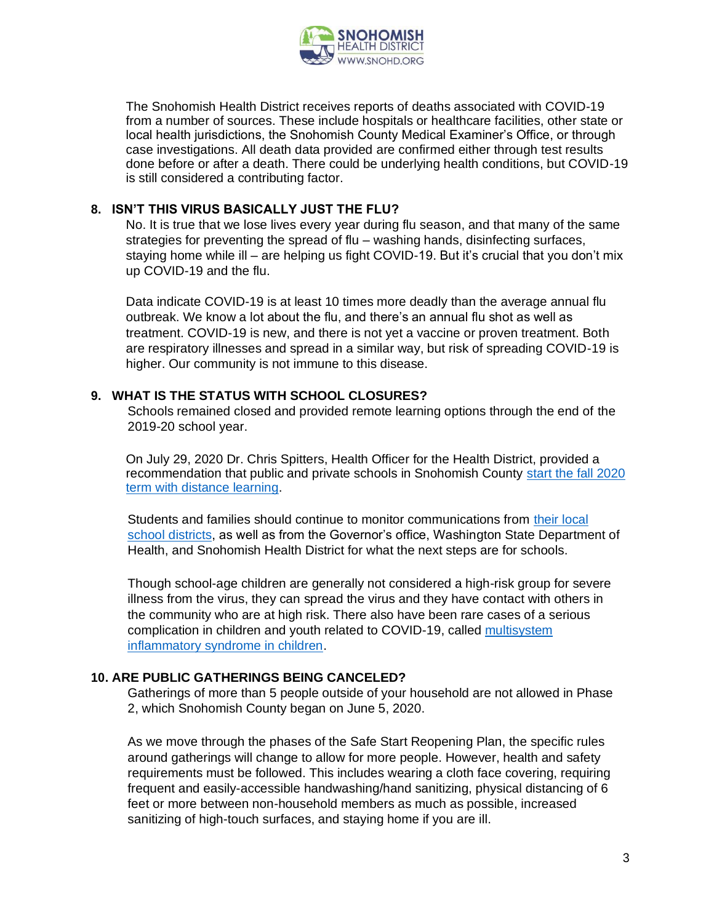

The Snohomish Health District receives reports of deaths associated with COVID-19 from a number of sources. These include hospitals or healthcare facilities, other state or local health jurisdictions, the Snohomish County Medical Examiner's Office, or through case investigations. All death data provided are confirmed either through test results done before or after a death. There could be underlying health conditions, but COVID-19 is still considered a contributing factor.

### **8. ISN'T THIS VIRUS BASICALLY JUST THE FLU?**

No. It is true that we lose lives every year during flu season, and that many of the same strategies for preventing the spread of flu – washing hands, disinfecting surfaces, staying home while ill – are helping us fight COVID-19. But it's crucial that you don't mix up COVID-19 and the flu.

Data indicate COVID-19 is at least 10 times more deadly than the average annual flu outbreak. We know a lot about the flu, and there's an annual flu shot as well as treatment. COVID-19 is new, and there is not yet a vaccine or proven treatment. Both are respiratory illnesses and spread in a similar way, but risk of spreading COVID-19 is higher. Our community is not immune to this disease.

### **9. WHAT IS THE STATUS WITH SCHOOL CLOSURES?**

Schools remained closed and provided remote learning options through the end of the 2019-20 school year.

On July 29, 2020 Dr. Chris Spitters, Health Officer for the Health District, provided a recommendation that public and private schools in Snohomish County start the fall 2020 [term with distance learning.](http://www.snohd.org/CivicAlerts.aspx?AID=390)

Students and families should continue to monitor communications from [their local](https://snohomishcountywa.gov/1592/School-Districts)  [school districts,](https://snohomishcountywa.gov/1592/School-Districts) as well as from the Governor's office, Washington State Department of Health, and Snohomish Health District for what the next steps are for schools.

Though school-age children are generally not considered a high-risk group for severe illness from the virus, they can spread the virus and they have contact with others in the community who are at high risk. There also have been rare cases of a serious complication in children and youth related to COVID-19, called [multisystem](https://www.cdc.gov/coronavirus/2019-ncov/daily-life-coping/children/mis-c.html)  [inflammatory syndrome in children.](https://www.cdc.gov/coronavirus/2019-ncov/daily-life-coping/children/mis-c.html)

### **10. ARE PUBLIC GATHERINGS BEING CANCELED?**

Gatherings of more than 5 people outside of your household are not allowed in Phase 2, which Snohomish County began on June 5, 2020.

As we move through the phases of the Safe Start Reopening Plan, the specific rules around gatherings will change to allow for more people. However, health and safety requirements must be followed. This includes wearing a cloth face covering, requiring frequent and easily-accessible handwashing/hand sanitizing, physical distancing of 6 feet or more between non-household members as much as possible, increased sanitizing of high-touch surfaces, and staying home if you are ill.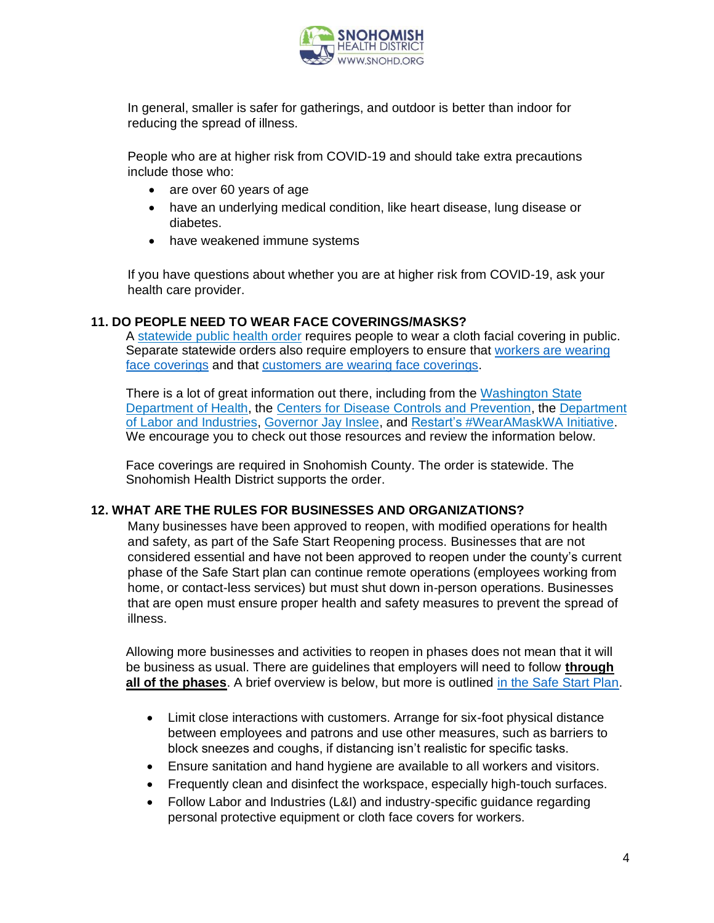

In general, smaller is safer for gatherings, and outdoor is better than indoor for reducing the spread of illness.

People who are at higher risk from COVID-19 and should take extra precautions include those who:

- are over 60 years of age
- have an underlying medical condition, like heart disease, lung disease or diabetes.
- have weakened immune systems

If you have questions about whether you are at higher risk from COVID-19, ask your health care provider.

### **11. DO PEOPLE NEED TO WEAR FACE COVERINGS/MASKS?**

A [statewide](https://www.doh.wa.gov/Portals/1/Documents/1600/coronavirus/Secretary_of_Health_Order_20-03_Statewide_Face_Coverings.pdf) public health order requires people to wear a cloth facial covering in public. Separate statewide orders also require employers to ensure that [workers](https://lni.wa.gov/agency/outreach/coronavirus-covid-19-worker-face-covering-and-mask-requirements-questions) are wearing face [coverings](https://lni.wa.gov/agency/outreach/coronavirus-covid-19-worker-face-covering-and-mask-requirements-questions) and that [customers](https://coronavirus.wa.gov/sites/default/files/2020-07/Overview%20of%20mask%20order_July20.pdf) are wearing face coverings.

There is a lot of great information out there, including from the [Washington](https://www.doh.wa.gov/Emergencies/NovelCoronavirusOutbreak2020COVID19/ResourcesandRecommendations/ClothFaceCoveringsandMasks) State [Department](https://www.doh.wa.gov/Emergencies/NovelCoronavirusOutbreak2020COVID19/ResourcesandRecommendations/ClothFaceCoveringsandMasks) of Health, the Centers for Disease Controls and [Prevention,](https://www.cdc.gov/coronavirus/2019-ncov/prevent-getting-sick/diy-cloth-face-coverings.html) the [Department](https://www.lni.wa.gov/agency/_docs/wacoronavirushazardconsiderationsemployers.pdf) of Labor and [Industries,](https://www.lni.wa.gov/agency/_docs/wacoronavirushazardconsiderationsemployers.pdf) [Governor](https://medium.com/@WAStateGov/inslee-announces-statewide-mask-mandate-812c9ba7a92) Jay Inslee, and Restart's [#WearAMaskWA](https://restart.us/wearamaskwa/) Initiative. We encourage you to check out those resources and review the information below.

Face coverings are required in Snohomish County. The order is statewide. The Snohomish Health District supports the order.

### **12. WHAT ARE THE RULES FOR BUSINESSES AND ORGANIZATIONS?**

Many businesses have been approved to reopen, with modified operations for health and safety, as part of the Safe Start Reopening process. Businesses that are not considered essential and have not been approved to reopen under the county's current phase of the Safe Start plan can continue remote operations (employees working from home, or contact-less services) but must shut down in-person operations. Businesses that are open must ensure proper health and safety measures to prevent the spread of illness.

Allowing more businesses and activities to reopen in phases does not mean that it will be business as usual. There are guidelines that employers will need to follow **through all of the phases**. A brief overview is below, but more is outlined [in the Safe Start Plan.](https://www.governor.wa.gov/sites/default/files/SafeStartWA_4May20_1pm.pdf?utm_medium=email&utm_source=govdelivery)

- Limit close interactions with customers. Arrange for six-foot physical distance between employees and patrons and use other measures, such as barriers to block sneezes and coughs, if distancing isn't realistic for specific tasks.
- Ensure sanitation and hand hygiene are available to all workers and visitors.
- Frequently clean and disinfect the workspace, especially high-touch surfaces.
- Follow Labor and Industries (L&I) and industry-specific quidance regarding personal protective equipment or cloth face covers for workers.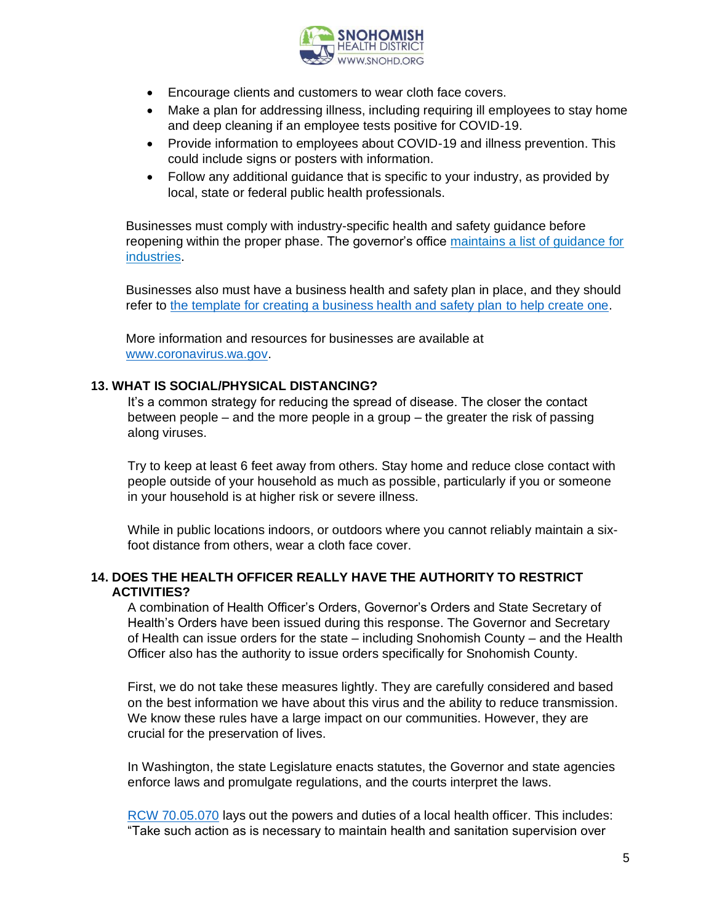

- Encourage clients and customers to wear cloth face covers.
- Make a plan for addressing illness, including requiring ill employees to stay home and deep cleaning if an employee tests positive for COVID-19.
- Provide information to employees about COVID-19 and illness prevention. This could include signs or posters with information.
- Follow any additional guidance that is specific to your industry, as provided by local, state or federal public health professionals.

Businesses must comply with industry-specific health and safety guidance before reopening within the proper phase. The governor's office [maintains a list of guidance for](https://www.governor.wa.gov/issues/issues/covid-19-resources/covid-19-reopening-guidance-businesses-and-workers?utm_medium=email&utm_source=govdelivery)  [industries.](https://www.governor.wa.gov/issues/issues/covid-19-resources/covid-19-reopening-guidance-businesses-and-workers?utm_medium=email&utm_source=govdelivery)

Businesses also must have a business health and safety plan in place, and they should refer to [the template for creating a business health and safety plan](https://www.governor.wa.gov/sites/default/files/BusinessTemplate_Phase3_1.pdf) to help create one.

More information and resources for businesses are available at [www.coronavirus.wa.gov.](http://www.coronavirus.wa.gov/)

### **13. WHAT IS SOCIAL/PHYSICAL DISTANCING?**

It's a common strategy for reducing the spread of disease. The closer the contact between people – and the more people in a group – the greater the risk of passing along viruses.

Try to keep at least 6 feet away from others. Stay home and reduce close contact with people outside of your household as much as possible, particularly if you or someone in your household is at higher risk or severe illness.

While in public locations indoors, or outdoors where you cannot reliably maintain a sixfoot distance from others, wear a cloth face cover.

### **14. DOES THE HEALTH OFFICER REALLY HAVE THE AUTHORITY TO RESTRICT ACTIVITIES?**

A combination of Health Officer's Orders, Governor's Orders and State Secretary of Health's Orders have been issued during this response. The Governor and Secretary of Health can issue orders for the state – including Snohomish County – and the Health Officer also has the authority to issue orders specifically for Snohomish County.

First, we do not take these measures lightly. They are carefully considered and based on the best information we have about this virus and the ability to reduce transmission. We know these rules have a large impact on our communities. However, they are crucial for the preservation of lives.

In Washington, the state Legislature enacts statutes, the Governor and state agencies enforce laws and promulgate regulations, and the courts interpret the laws.

[RCW 70.05.070](https://app.leg.wa.gov/rcw/default.aspx?cite=70.05.070) lays out the powers and duties of a local health officer. This includes: "Take such action as is necessary to maintain health and sanitation supervision over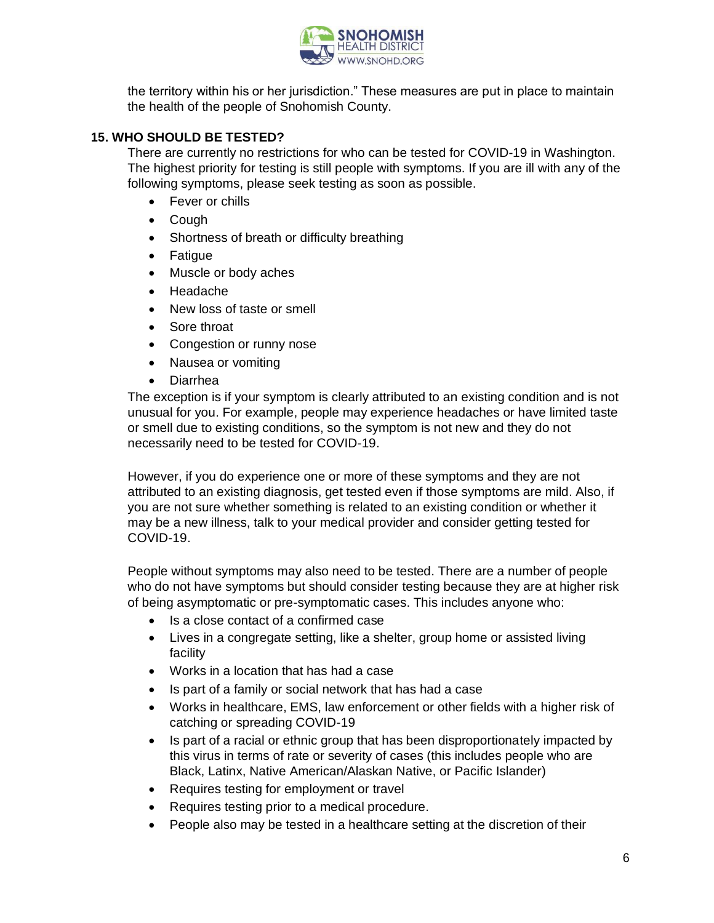

the territory within his or her jurisdiction." These measures are put in place to maintain the health of the people of Snohomish County.

# **15. WHO SHOULD BE TESTED?**

There are currently no restrictions for who can be tested for COVID-19 in Washington. The highest priority for testing is still people with symptoms. If you are ill with any of the following symptoms, please seek testing as soon as possible.

- Fever or chills
- Cough
- Shortness of breath or difficulty breathing
- Fatigue
- Muscle or body aches
- Headache
- New loss of taste or smell
- Sore throat
- Congestion or runny nose
- Nausea or vomiting
- Diarrhea

The exception is if your symptom is clearly attributed to an existing condition and is not unusual for you. For example, people may experience headaches or have limited taste or smell due to existing conditions, so the symptom is not new and they do not necessarily need to be tested for COVID-19.

However, if you do experience one or more of these symptoms and they are not attributed to an existing diagnosis, get tested even if those symptoms are mild. Also, if you are not sure whether something is related to an existing condition or whether it may be a new illness, talk to your medical provider and consider getting tested for COVID-19.

People without symptoms may also need to be tested. There are a number of people who do not have symptoms but should consider testing because they are at higher risk of being asymptomatic or pre-symptomatic cases. This includes anyone who:

- Is a close contact of a confirmed case
- Lives in a congregate setting, like a shelter, group home or assisted living facility
- Works in a location that has had a case
- Is part of a family or social network that has had a case
- Works in healthcare, EMS, law enforcement or other fields with a higher risk of catching or spreading COVID-19
- Is part of a racial or ethnic group that has been disproportionately impacted by this virus in terms of rate or severity of cases (this includes people who are Black, Latinx, Native American/Alaskan Native, or Pacific Islander)
- Requires testing for employment or travel
- Requires testing prior to a medical procedure.
- People also may be tested in a healthcare setting at the discretion of their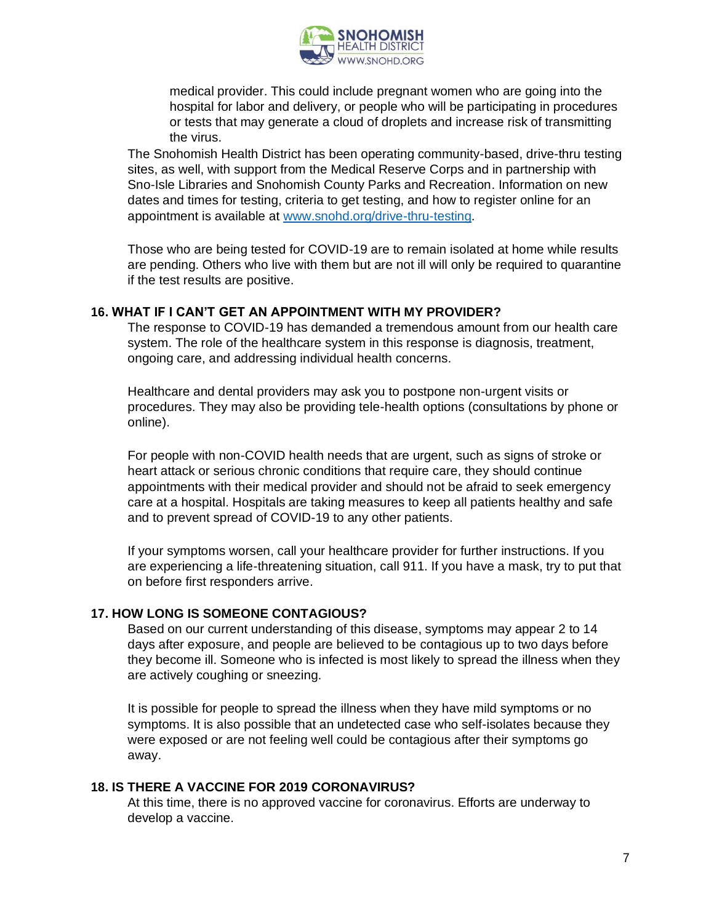

medical provider. This could include pregnant women who are going into the hospital for labor and delivery, or people who will be participating in procedures or tests that may generate a cloud of droplets and increase risk of transmitting the virus.

The Snohomish Health District has been operating community-based, drive-thru testing sites, as well, with support from the Medical Reserve Corps and in partnership with Sno-Isle Libraries and Snohomish County Parks and Recreation. Information on new dates and times for testing, criteria to get testing, and how to register online for an appointment is available at [www.snohd.org/drive-thru-testing.](http://www.snohd.org/drive-thru-testing)

Those who are being tested for COVID-19 are to remain isolated at home while results are pending. Others who live with them but are not ill will only be required to quarantine if the test results are positive.

### **16. WHAT IF I CAN'T GET AN APPOINTMENT WITH MY PROVIDER?**

The response to COVID-19 has demanded a tremendous amount from our health care system. The role of the healthcare system in this response is diagnosis, treatment, ongoing care, and addressing individual health concerns.

Healthcare and dental providers may ask you to postpone non-urgent visits or procedures. They may also be providing tele-health options (consultations by phone or online).

For people with non-COVID health needs that are urgent, such as signs of stroke or heart attack or serious chronic conditions that require care, they should continue appointments with their medical provider and should not be afraid to seek emergency care at a hospital. Hospitals are taking measures to keep all patients healthy and safe and to prevent spread of COVID-19 to any other patients.

If your symptoms worsen, call your healthcare provider for further instructions. If you are experiencing a life-threatening situation, call 911. If you have a mask, try to put that on before first responders arrive.

#### **17. HOW LONG IS SOMEONE CONTAGIOUS?**

Based on our current understanding of this disease, symptoms may appear 2 to 14 days after exposure, and people are believed to be contagious up to two days before they become ill. Someone who is infected is most likely to spread the illness when they are actively coughing or sneezing.

It is possible for people to spread the illness when they have mild symptoms or no symptoms. It is also possible that an undetected case who self-isolates because they were exposed or are not feeling well could be contagious after their symptoms go away.

#### **18. IS THERE A VACCINE FOR 2019 CORONAVIRUS?**

At this time, there is no approved vaccine for coronavirus. Efforts are underway to develop a vaccine.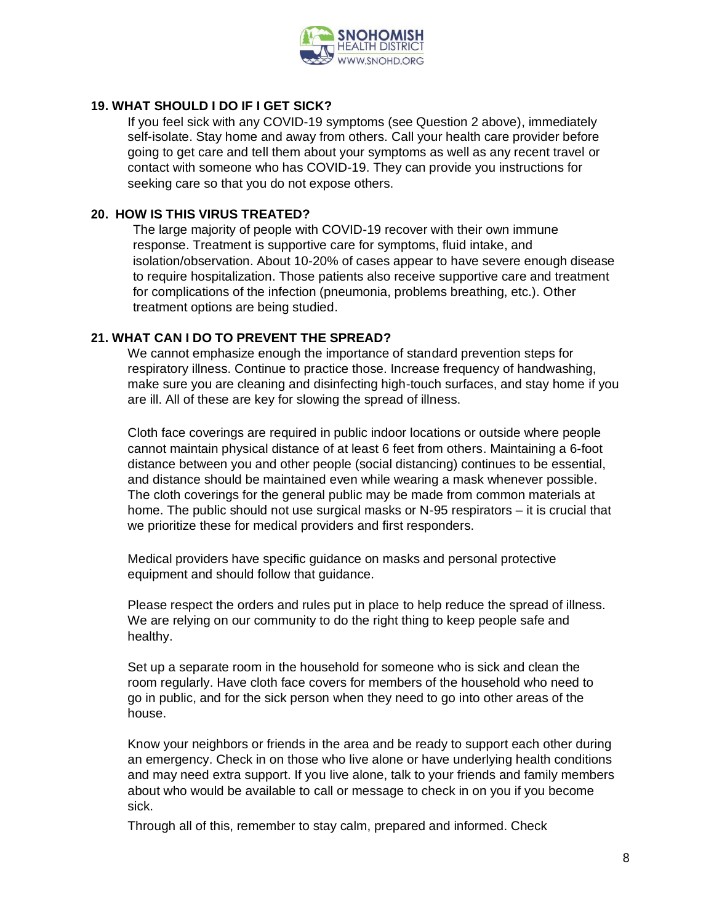

# **19. WHAT SHOULD I DO IF I GET SICK?**

If you feel sick with any COVID-19 symptoms (see Question 2 above), immediately self-isolate. Stay home and away from others. Call your health care provider before going to get care and tell them about your symptoms as well as any recent travel or contact with someone who has COVID-19. They can provide you instructions for seeking care so that you do not expose others.

### **20. HOW IS THIS VIRUS TREATED?**

The large majority of people with COVID-19 recover with their own immune response. Treatment is supportive care for symptoms, fluid intake, and isolation/observation. About 10-20% of cases appear to have severe enough disease to require hospitalization. Those patients also receive supportive care and treatment for complications of the infection (pneumonia, problems breathing, etc.). Other treatment options are being studied.

# **21. WHAT CAN I DO TO PREVENT THE SPREAD?**

We cannot emphasize enough the importance of standard prevention steps for respiratory illness. Continue to practice those. Increase frequency of handwashing, make sure you are cleaning and disinfecting high-touch surfaces, and stay home if you are ill. All of these are key for slowing the spread of illness.

Cloth face coverings are required in public indoor locations or outside where people cannot maintain physical distance of at least 6 feet from others. Maintaining a 6-foot distance between you and other people (social distancing) continues to be essential, and distance should be maintained even while wearing a mask whenever possible. The cloth coverings for the general public may be made from common materials at home. The public should not use surgical masks or N-95 respirators – it is crucial that we prioritize these for medical providers and first responders.

Medical providers have specific guidance on masks and personal protective equipment and should follow that guidance.

Please respect the orders and rules put in place to help reduce the spread of illness. We are relying on our community to do the right thing to keep people safe and healthy.

Set up a separate room in the household for someone who is sick and clean the room regularly. Have cloth face covers for members of the household who need to go in public, and for the sick person when they need to go into other areas of the house.

Know your neighbors or friends in the area and be ready to support each other during an emergency. Check in on those who live alone or have underlying health conditions and may need extra support. If you live alone, talk to your friends and family members about who would be available to call or message to check in on you if you become sick.

Through all of this, remember to stay calm, prepared and informed. Check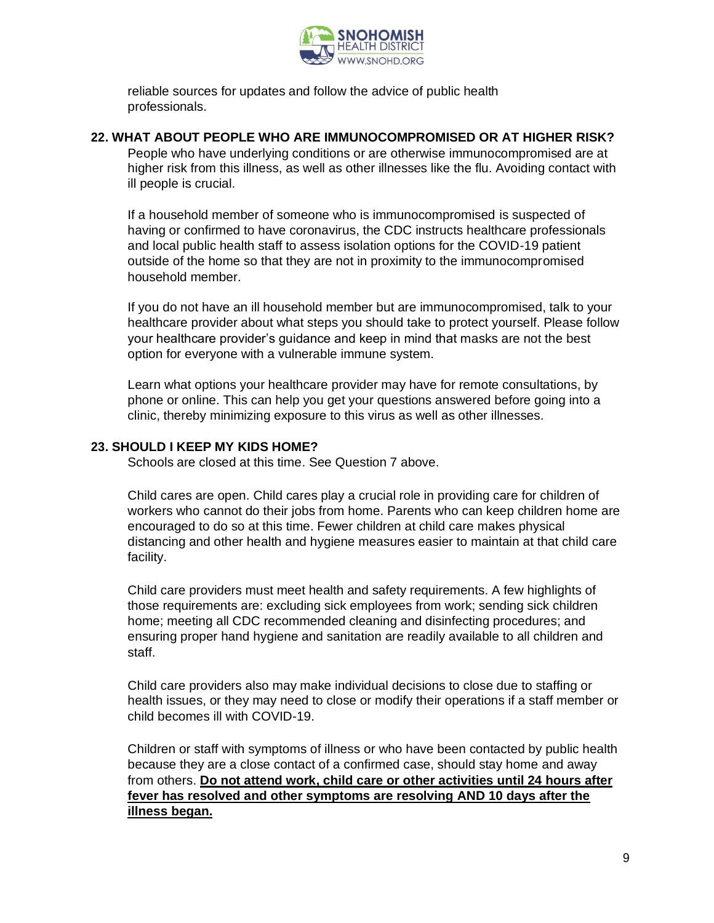

reliable sources for updates and follow the advice of public health professionals.

# **22. WHAT ABOUT PEOPLE WHO ARE IMMUNOCOMPROMISED OR AT HIGHER RISK?**

People who have underlying conditions or are otherwise immunocompromised are at higher risk from this illness, as well as other illnesses like the flu. Avoiding contact with ill people is crucial.

If a household member of someone who is immunocompromised is suspected of having or confirmed to have coronavirus, the CDC instructs healthcare professionals and local public health staff to assess isolation options for the COVID-19 patient outside of the home so that they are not in proximity to the immunocompromised household member.

If you do not have an ill household member but are immunocompromised, talk to your healthcare provider about what steps you should take to protect yourself. Please follow your healthcare provider's guidance and keep in mind that masks are not the best option for everyone with a vulnerable immune system.

Learn what options your healthcare provider may have for remote consultations, by phone or online. This can help you get your questions answered before going into a clinic, thereby minimizing exposure to this virus as well as other illnesses.

### **23. SHOULD I KEEP MY KIDS HOME?**

Schools are closed at this time. See Question 7 above.

Child cares are open. Child cares play a crucial role in providing care for children of workers who cannot do their jobs from home. Parents who can keep children home are encouraged to do so at this time. Fewer children at child care makes physical distancing and other health and hygiene measures easier to maintain at that child care facility.

Child care providers must meet health and safety requirements. A few highlights of those requirements are: excluding sick employees from work; sending sick children home; meeting all CDC recommended cleaning and disinfecting procedures; and ensuring proper hand hygiene and sanitation are readily available to all children and staff.

Child care providers also may make individual decisions to close due to staffing or health issues, or they may need to close or modify their operations if a staff member or child becomes ill with COVID-19.

Children or staff with symptoms of illness or who have been contacted by public health because they are a close contact of a confirmed case, should stay home and away from others. **Do not attend work, child care or other activities until 24 hours after fever has resolved and other symptoms are resolving AND 10 days after the illness began.**